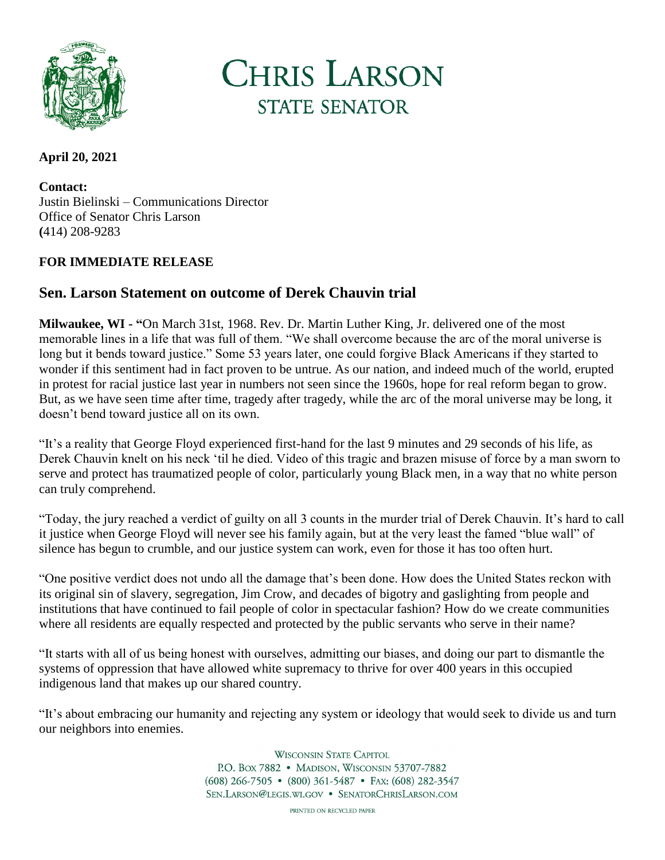

**CHRIS LARSON STATE SENATOR** 

## **April 20, 2021**

**Contact:** Justin Bielinski – Communications Director Office of Senator Chris Larson **(**414) 208-9283

## **FOR IMMEDIATE RELEASE**

## **Sen. Larson Statement on outcome of Derek Chauvin trial**

**Milwaukee, WI - "**On March 31st, 1968. Rev. Dr. Martin Luther King, Jr. delivered one of the most memorable lines in a life that was full of them. "We shall overcome because the arc of the moral universe is long but it bends toward justice." Some 53 years later, one could forgive Black Americans if they started to wonder if this sentiment had in fact proven to be untrue. As our nation, and indeed much of the world, erupted in protest for racial justice last year in numbers not seen since the 1960s, hope for real reform began to grow. But, as we have seen time after time, tragedy after tragedy, while the arc of the moral universe may be long, it doesn't bend toward justice all on its own.

"It's a reality that George Floyd experienced first-hand for the last 9 minutes and 29 seconds of his life, as Derek Chauvin knelt on his neck 'til he died. Video of this tragic and brazen misuse of force by a man sworn to serve and protect has traumatized people of color, particularly young Black men, in a way that no white person can truly comprehend.

"Today, the jury reached a verdict of guilty on all 3 counts in the murder trial of Derek Chauvin. It's hard to call it justice when George Floyd will never see his family again, but at the very least the famed "blue wall" of silence has begun to crumble, and our justice system can work, even for those it has too often hurt.

"One positive verdict does not undo all the damage that's been done. How does the United States reckon with its original sin of slavery, segregation, Jim Crow, and decades of bigotry and gaslighting from people and institutions that have continued to fail people of color in spectacular fashion? How do we create communities where all residents are equally respected and protected by the public servants who serve in their name?

"It starts with all of us being honest with ourselves, admitting our biases, and doing our part to dismantle the systems of oppression that have allowed white supremacy to thrive for over 400 years in this occupied indigenous land that makes up our shared country.

"It's about embracing our humanity and rejecting any system or ideology that would seek to divide us and turn our neighbors into enemies.

> **WISCONSIN STATE CAPITOL** P.O. Box 7882 • MADISON, WISCONSIN 53707-7882  $(608)$  266-7505 •  $(800)$  361-5487 • FAX:  $(608)$  282-3547 SEN.LARSON@LEGIS.WI.GOV . SENATORCHRISLARSON.COM

> > PRINTED ON RECYCLED PAPER